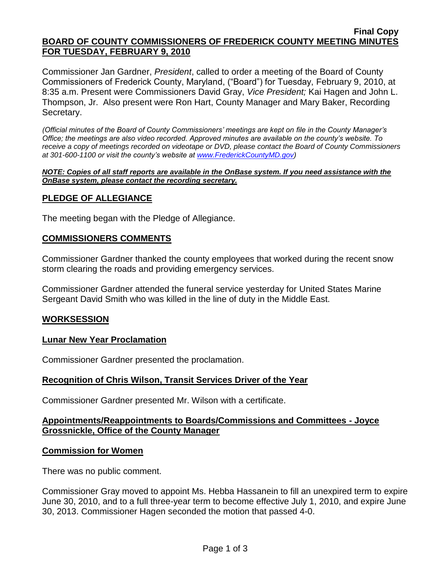#### **Final Copy BOARD OF COUNTY COMMISSIONERS OF FREDERICK COUNTY MEETING MINUTES FOR TUESDAY, FEBRUARY 9, 2010**

Commissioner Jan Gardner, *President*, called to order a meeting of the Board of County Commissioners of Frederick County, Maryland, ("Board") for Tuesday, February 9, 2010, at 8:35 a.m. Present were Commissioners David Gray, *Vice President;* Kai Hagen and John L. Thompson, Jr. Also present were Ron Hart, County Manager and Mary Baker, Recording Secretary.

*(Official minutes of the Board of County Commissioners' meetings are kept on file in the County Manager's Office; the meetings are also video recorded. Approved minutes are available on the county's website. To receive a copy of meetings recorded on videotape or DVD, please contact the Board of County Commissioners at 301-600-1100 or visit the county's website at [www.FrederickCountyMD.gov\)](http://www.frederickcountymd.gov/)*

#### *NOTE: Copies of all staff reports are available in the OnBase system. If you need assistance with the OnBase system, please contact the recording secretary.*

# **PLEDGE OF ALLEGIANCE**

The meeting began with the Pledge of Allegiance.

## **COMMISSIONERS COMMENTS**

Commissioner Gardner thanked the county employees that worked during the recent snow storm clearing the roads and providing emergency services.

Commissioner Gardner attended the funeral service yesterday for United States Marine Sergeant David Smith who was killed in the line of duty in the Middle East.

## **WORKSESSION**

# **Lunar New Year Proclamation**

Commissioner Gardner presented the proclamation.

## **Recognition of Chris Wilson, Transit Services Driver of the Year**

Commissioner Gardner presented Mr. Wilson with a certificate.

# **Appointments/Reappointments to Boards/Commissions and Committees - Joyce Grossnickle, Office of the County Manager**

## **Commission for Women**

There was no public comment.

Commissioner Gray moved to appoint Ms. Hebba Hassanein to fill an unexpired term to expire June 30, 2010, and to a full three-year term to become effective July 1, 2010, and expire June 30, 2013. Commissioner Hagen seconded the motion that passed 4-0.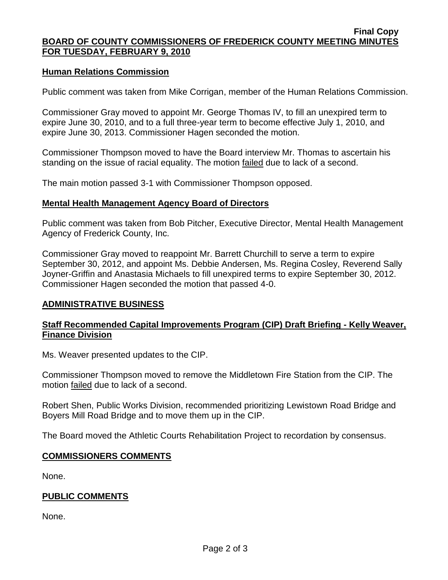#### **Final Copy BOARD OF COUNTY COMMISSIONERS OF FREDERICK COUNTY MEETING MINUTES FOR TUESDAY, FEBRUARY 9, 2010**

## **Human Relations Commission**

Public comment was taken from Mike Corrigan, member of the Human Relations Commission.

Commissioner Gray moved to appoint Mr. George Thomas IV, to fill an unexpired term to expire June 30, 2010, and to a full three-year term to become effective July 1, 2010, and expire June 30, 2013. Commissioner Hagen seconded the motion.

Commissioner Thompson moved to have the Board interview Mr. Thomas to ascertain his standing on the issue of racial equality. The motion failed due to lack of a second.

The main motion passed 3-1 with Commissioner Thompson opposed.

## **Mental Health Management Agency Board of Directors**

Public comment was taken from Bob Pitcher, Executive Director, Mental Health Management Agency of Frederick County, Inc.

Commissioner Gray moved to reappoint Mr. Barrett Churchill to serve a term to expire September 30, 2012, and appoint Ms. Debbie Andersen, Ms. Regina Cosley, Reverend Sally Joyner-Griffin and Anastasia Michaels to fill unexpired terms to expire September 30, 2012. Commissioner Hagen seconded the motion that passed 4-0.

### **ADMINISTRATIVE BUSINESS**

## **Staff Recommended Capital Improvements Program (CIP) Draft Briefing - Kelly Weaver, Finance Division**

Ms. Weaver presented updates to the CIP.

Commissioner Thompson moved to remove the Middletown Fire Station from the CIP. The motion failed due to lack of a second.

Robert Shen, Public Works Division, recommended prioritizing Lewistown Road Bridge and Boyers Mill Road Bridge and to move them up in the CIP.

The Board moved the Athletic Courts Rehabilitation Project to recordation by consensus.

## **COMMISSIONERS COMMENTS**

None.

## **PUBLIC COMMENTS**

None.